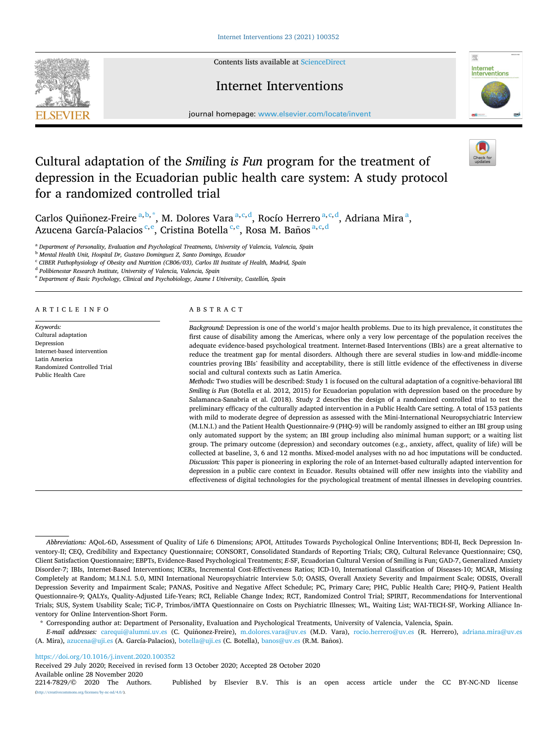Contents lists available at [ScienceDirect](www.sciencedirect.com/science/journal/22147829)



## Internet Interventions



journal homepage: [www.elsevier.com/locate/invent](https://www.elsevier.com/locate/invent)

# Cultural adaptation of the *Smil*ing *is Fun* program for the treatment of depression in the Ecuadorian public health care system: A study protocol for a randomized controlled trial

Carlos Quiñonez-Freire <sup>a, b, \*</sup>, M. Dolores Vara <sup>a, c, d</sup>, Rocío Herrero <sup>a, c, d</sup>, Adriana Mira <sup>a</sup>, Azucena García-Palacios <sup>e, e</sup>, Cristina Botella <sup>e, e</sup>, Rosa M. Baños <sup>a, e, d</sup>

<sup>a</sup> *Department of Personality, Evaluation and Psychological Treatments, University of Valencia, Valencia, Spain* 

<sup>b</sup> *Mental Health Unit, Hospital Dr, Gustavo Dominguez Z, Santo Domingo, Ecuador* 

<sup>c</sup> *CIBER Pathophysiology of Obesity and Nutrition (CB06/03), Carlos III Institute of Health, Madrid, Spain* 

<sup>d</sup> *Polibienestar Research Institute, University of Valencia, Valencia, Spain* 

<sup>e</sup> Department of Basic Psychology, Clinical and Psychobiology, Jaume I University, Castellón, Spain

#### ARTICLE INFO

*Keywords:*  Cultural adaptation Depression Internet-based intervention Latin America Randomized Controlled Trial Public Health Care

## ABSTRACT

*Background:* Depression is one of the world's major health problems. Due to its high prevalence, it constitutes the first cause of disability among the Americas, where only a very low percentage of the population receives the adequate evidence-based psychological treatment. Internet-Based Interventions (IBIs) are a great alternative to reduce the treatment gap for mental disorders. Although there are several studies in low-and middle-income countries proving IBIs' feasibility and acceptability, there is still little evidence of the effectiveness in diverse social and cultural contexts such as Latin America.

*Methods:* Two studies will be described: Study 1 is focused on the cultural adaptation of a cognitive-behavioral IBI *Smiling is Fun* (Botella et al. 2012, 2015) for Ecuadorian population with depression based on the procedure by Salamanca-Sanabria et al. (2018). Study 2 describes the design of a randomized controlled trial to test the preliminary efficacy of the culturally adapted intervention in a Public Health Care setting. A total of 153 patients with mild to moderate degree of depression as assessed with the Mini-International Neuropsychiatric Interview (M.I.N.I.) and the Patient Health Questionnaire-9 (PHQ-9) will be randomly assigned to either an IBI group using only automated support by the system; an IBI group including also minimal human support; or a waiting list group. The primary outcome (depression) and secondary outcomes (e.g., anxiety, affect, quality of life) will be collected at baseline, 3, 6 and 12 months. Mixed-model analyses with no ad hoc imputations will be conducted. *Discussion:* This paper is pioneering in exploring the role of an Internet-based culturally adapted intervention for depression in a public care context in Ecuador. Results obtained will offer new insights into the viability and effectiveness of digital technologies for the psychological treatment of mental illnesses in developing countries.

\* Corresponding author at: Department of Personality, Evaluation and Psychological Treatments, University of Valencia, Valencia, Spain.

*E-mail addresses:* [carequi@alumni.uv.es](mailto:carequi@alumni.uv.es) (C. Quinonez-Freire), ˜ [m.dolores.vara@uv.es](mailto:m.dolores.vara@uv.es) (M.D. Vara), [rocio.herrero@uv.es](mailto:rocio.herrero@uv.es) (R. Herrero), [adriana.mira@uv.es](mailto:adriana.mira@uv.es)  (A. Mira), [azucena@uji.es](mailto:azucena@uji.es) (A. García-Palacios), [botella@uji.es](mailto:botella@uji.es) (C. Botella), [banos@uv.es](mailto:banos@uv.es) (R.M. Banos). ˜

<https://doi.org/10.1016/j.invent.2020.100352>

Available online 28 November 2020<br>2214-7829/© 2020 The Authors. Received 29 July 2020; Received in revised form 13 October 2020; Accepted 28 October 2020

Published by Elsevier B.V. This is an open access article under the CC BY-NC-ND license (http://eref.commons.org/licenses/by-nc-nd/4.0/).

*Abbreviations:* AQoL-6D, Assessment of Quality of Life 6 Dimensions; APOI, Attitudes Towards Psychological Online Interventions; BDI-II, Beck Depression Inventory-II; CEQ, Credibility and Expectancy Questionnaire; CONSORT, Consolidated Standards of Reporting Trials; CRQ, Cultural Relevance Questionnaire; CSQ, Client Satisfaction Questionnaire; EBPTs, Evidence-Based Psychological Treatments; *E*-SF, Ecuadorian Cultural Version of Smiling is Fun; GAD-7, Generalized Anxiety Disorder-7; IBIs, Internet-Based Interventions; ICERs, Incremental Cost-Effectiveness Ratios; ICD-10, International Classification of Diseases-10; MCAR, Missing Completely at Random; M.I.N.I. 5.0, MINI International Neuropsychiatric Interview 5.0; OASIS, Overall Anxiety Severity and Impairment Scale; ODSIS, Overall Depression Severity and Impairment Scale; PANAS, Positive and Negative Affect Schedule; PC, Primary Care; PHC, Public Health Care; PHQ-9, Patient Health Questionnaire-9; QALYs, Quality-Adjusted Life-Years; RCI, Reliable Change Index; RCT, Randomized Control Trial; SPIRIT, Recommendations for Interventional Trials; SUS, System Usability Scale; TiC-P, Trimbos/iMTA Questionnaire on Costs on Psychiatric Illnesses; WL, Waiting List; WAI-TECH-SF, Working Alliance Inventory for Online Intervention-Short Form.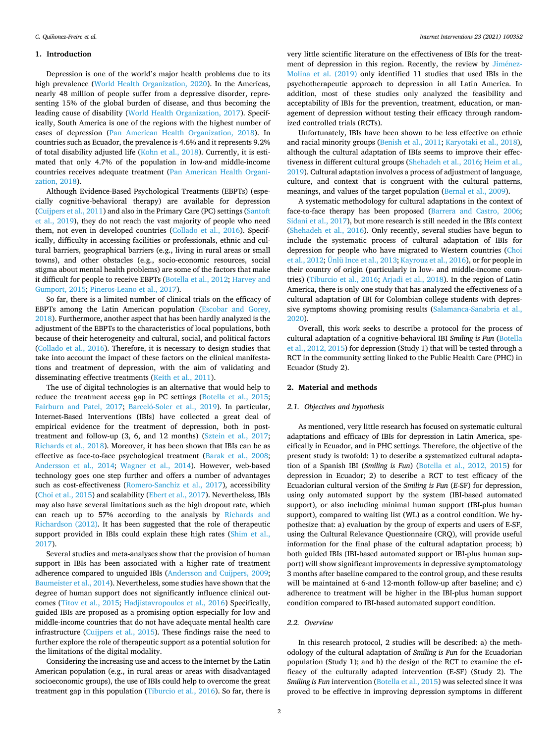#### **1. Introduction**

Depression is one of the world's major health problems due to its high prevalence ([World Health Organization, 2020](#page-9-0)). In the Americas, nearly 48 million of people suffer from a depressive disorder, representing 15% of the global burden of disease, and thus becoming the leading cause of disability ([World Health Organization, 2017\)](#page-8-0). Specifically, South America is one of the regions with the highest number of cases of depression ([Pan American Health Organization, 2018\)](#page-6-0). In countries such as Ecuador, the prevalence is 4.6% and it represents 9.2% of total disability adjusted life [\(Kohn et al., 2018\)](#page-7-0). Currently, it is estimated that only 4.7% of the population in low-and middle-income countries receives adequate treatment [\(Pan American Health Organi](#page-6-0)[zation, 2018\)](#page-6-0).

Although Evidence-Based Psychological Treatments (EBPTs) (especially cognitive-behavioral therapy) are available for depression ([Cuijpers et al., 2011](#page-7-0)) and also in the Primary Care (PC) settings ([Santoft](#page-8-0)  [et al., 2019\)](#page-8-0), they do not reach the vast majority of people who need them, not even in developed countries [\(Collado et al., 2016](#page-7-0)). Specifically, difficulty in accessing facilities or professionals, ethnic and cultural barriers, geographical barriers (e.g., living in rural areas or small towns), and other obstacles (e.g., socio-economic resources, social stigma about mental health problems) are some of the factors that make it difficult for people to receive EBPTs ([Botella et al., 2012](#page-7-0); [Harvey and](#page-7-0)  [Gumport, 2015;](#page-7-0) [Pineros-Leano et al., 2017\)](#page-8-0).

So far, there is a limited number of clinical trials on the efficacy of EBPTs among the Latin American population [\(Escobar and Gorey,](#page-7-0)  [2018\)](#page-7-0). Furthermore, another aspect that has been hardly analyzed is the adjustment of the EBPTs to the characteristics of local populations, both because of their heterogeneity and cultural, social, and political factors ([Collado et al., 2016\)](#page-7-0). Therefore, it is necessary to design studies that take into account the impact of these factors on the clinical manifestations and treatment of depression, with the aim of validating and disseminating effective treatments [\(Keith et al., 2011](#page-7-0)).

The use of digital technologies is an alternative that would help to reduce the treatment access gap in PC settings ([Botella et al., 2015](#page-7-0); [Fairburn and Patel, 2017](#page-7-0); Barceló-Soler et al., 2019). In particular, Internet-Based Interventions (IBIs) have collected a great deal of empirical evidence for the treatment of depression, both in posttreatment and follow-up (3, 6, and 12 months) ([Sztein et al., 2017](#page-8-0); [Richards et al., 2018](#page-8-0)). Moreover, it has been shown that IBIs can be as effective as face-to-face psychological treatment ([Barak et al., 2008](#page-6-0); [Andersson et al., 2014](#page-6-0); [Wagner et al., 2014\)](#page-8-0). However, web-based technology goes one step further and offers a number of advantages such as cost-effectiveness ([Romero-Sanchiz et al., 2017](#page-8-0)), accessibility ([Choi et al., 2015](#page-7-0)) and scalability [\(Ebert et al., 2017](#page-7-0)). Nevertheless, IBIs may also have several limitations such as the high dropout rate, which can reach up to 57% according to the analysis by [Richards and](#page-8-0)  [Richardson \(2012\)](#page-8-0). It has been suggested that the role of therapeutic support provided in IBIs could explain these high rates [\(Shim et al.,](#page-8-0)  [2017\)](#page-8-0).

Several studies and meta-analyses show that the provision of human support in IBIs has been associated with a higher rate of treatment adherence compared to unguided IBIs [\(Andersson and Cuijpers, 2009](#page-6-0); [Baumeister et al., 2014](#page-7-0)). Nevertheless, some studies have shown that the degree of human support does not significantly influence clinical outcomes [\(Titov et al., 2015;](#page-8-0) [Hadjistavropoulos et al., 2016](#page-7-0)) Specifically, guided IBIs are proposed as a promising option especially for low and middle-income countries that do not have adequate mental health care infrastructure ([Cuijpers et al., 2015](#page-7-0)). These findings raise the need to further explore the role of therapeutic support as a potential solution for the limitations of the digital modality.

Considering the increasing use and access to the Internet by the Latin American population (e.g., in rural areas or areas with disadvantaged socioeconomic groups), the use of IBIs could help to overcome the great treatment gap in this population [\(Tiburcio et al., 2016\)](#page-8-0). So far, there is

very little scientific literature on the effectiveness of IBIs for the treatment of depression in this region. Recently, the review by Jiménez-[Molina et al. \(2019\)](#page-7-0) only identified 11 studies that used IBIs in the psychotherapeutic approach to depression in all Latin America. In addition, most of these studies only analyzed the feasibility and acceptability of IBIs for the prevention, treatment, education, or management of depression without testing their efficacy through randomized controlled trials (RCTs).

Unfortunately, IBIs have been shown to be less effective on ethnic and racial minority groups ([Benish et al., 2011](#page-7-0); [Karyotaki et al., 2018](#page-7-0)), although the cultural adaptation of IBIs seems to improve their effectiveness in different cultural groups ([Shehadeh et al., 2016;](#page-8-0) [Heim et al.,](#page-7-0)  [2019\)](#page-7-0). Cultural adaptation involves a process of adjustment of language, culture, and context that is congruent with the cultural patterns, meanings, and values of the target population [\(Bernal et al., 2009\)](#page-7-0).

A systematic methodology for cultural adaptations in the context of face-to-face therapy has been proposed [\(Barrera and Castro, 2006](#page-7-0); [Sidani et al., 2017](#page-8-0)), but more research is still needed in the IBIs context ([Shehadeh et al., 2016\)](#page-8-0). Only recently, several studies have begun to include the systematic process of cultural adaptation of IBIs for depression for people who have migrated to Western countries [\(Choi](#page-7-0)  [et al., 2012;](#page-7-0) [Ünlü Ince et al., 2013;](#page-8-0) [Kayrouz et al., 2016\)](#page-7-0), or for people in their country of origin (particularly in low- and middle-income countries) ([Tiburcio et al., 2016;](#page-8-0) [Arjadi et al., 2018\)](#page-6-0). In the region of Latin America, there is only one study that has analyzed the effectiveness of a cultural adaptation of IBI for Colombian college students with depressive symptoms showing promising results ([Salamanca-Sanabria et al.,](#page-8-0)  [2020\)](#page-8-0).

Overall, this work seeks to describe a protocol for the process of cultural adaptation of a cognitive-behavioral IBI *Smiling is Fun* [\(Botella](#page-7-0)  [et al., 2012, 2015](#page-7-0)) for depression (Study 1) that will be tested through a RCT in the community setting linked to the Public Health Care (PHC) in Ecuador (Study 2).

#### **2. Material and methods**

#### *2.1. Objectives and hypothesis*

As mentioned, very little research has focused on systematic cultural adaptations and efficacy of IBIs for depression in Latin America, specifically in Ecuador, and in PHC settings. Therefore, the objective of the present study is twofold: 1) to describe a systematized cultural adaptation of a Spanish IBI (*Smiling is Fun*) [\(Botella et al., 2012, 2015](#page-7-0)) for depression in Ecuador; 2) to describe a RCT to test efficacy of the Ecuadorian cultural version of the *Smiling is Fun* (*E*-SF) for depression, using only automated support by the system (IBI-based automated support), or also including minimal human support (IBI-plus human support), compared to waiting list (WL) as a control condition. We hypothesize that: a) evaluation by the group of experts and users of E-SF, using the Cultural Relevance Questionnaire (CRQ), will provide useful information for the final phase of the cultural adaptation process; b) both guided IBIs (IBI-based automated support or IBI-plus human support) will show significant improvements in depressive symptomatology 3 months after baseline compared to the control group, and these results will be maintained at 6-and 12-month follow-up after baseline; and c) adherence to treatment will be higher in the IBI-plus human support condition compared to IBI-based automated support condition.

#### *2.2. Overview*

In this research protocol, 2 studies will be described: a) the methodology of the cultural adaptation of *Smiling is Fun* for the Ecuadorian population (Study 1); and b) the design of the RCT to examine the efficacy of the culturally adapted intervention (E-SF) (Study 2). The *Smiling is Fun intervention* [\(Botella et al., 2015\)](#page-7-0) was selected since it was proved to be effective in improving depression symptoms in different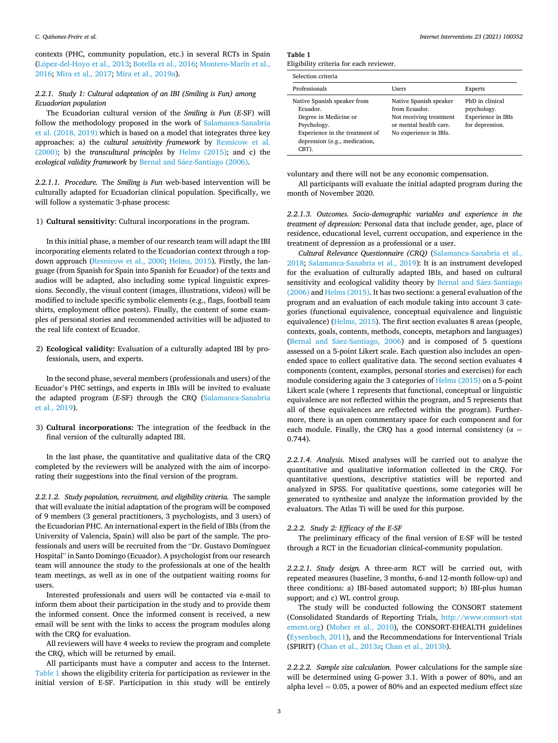contexts (PHC, community population, etc.) in several RCTs in Spain (López-del-Hoyo et al., 2013; [Botella et al., 2016;](#page-7-0) Montero-Marín et al., [2016; Mira et al., 2017](#page-8-0); [Mira et al., 2019a](#page-8-0)).

## *2.2.1. Study 1: Cultural adaptation of an IBI (Smiling is Fun) among Ecuadorian population*

The Ecuadorian cultural version of the *Smiling is Fun* (*E*-SF) will follow the methodology proposed in the work of [Salamanca-Sanabria](#page-8-0)  [et al. \(2018, 2019\)](#page-8-0) which is based on a model that integrates three key approaches: a) the *cultural sensitivity framework* by [Resnicow et al.](#page-8-0)  [\(2000\);](#page-8-0) b) the *transcultural principles* by [Helms \(2015\)](#page-7-0); and c) the ecological validity framework by Bernal and Sáez-Santiago (2006).

*2.2.1.1. Procedure.* The *Smiling is Fun* web-based intervention will be culturally adapted for Ecuadorian clinical population. Specifically, we will follow a systematic 3-phase process:

#### 1) **Cultural sensitivity**: Cultural incorporations in the program.

In this initial phase, a member of our research team will adapt the IBI incorporating elements related to the Ecuadorian context through a topdown approach ([Resnicow et al., 2000;](#page-8-0) [Helms, 2015\)](#page-7-0). Firstly, the language (from Spanish for Spain into Spanish for Ecuador) of the texts and audios will be adapted, also including some typical linguistic expressions. Secondly, the visual content (images, illustrations, videos) will be modified to include specific symbolic elements (e.g., flags, football team shirts, employment office posters). Finally, the content of some examples of personal stories and recommended activities will be adjusted to the real life context of Ecuador.

2) **Ecological validity:** Evaluation of a culturally adapted IBI by professionals, users, and experts.

In the second phase, several members (professionals and users) of the Ecuador's PHC settings, and experts in IBIs will be invited to evaluate the adapted program (*E*-SF) through the CRQ ([Salamanca-Sanabria](#page-8-0)  [et al., 2019\)](#page-8-0).

3) **Cultural incorporations:** The integration of the feedback in the final version of the culturally adapted IBI.

In the last phase, the quantitative and qualitative data of the CRQ completed by the reviewers will be analyzed with the aim of incorporating their suggestions into the final version of the program.

*2.2.1.2. Study population, recruitment, and eligibility criteria.* The sample that will evaluate the initial adaptation of the program will be composed of 9 members (3 general practitioners, 3 psychologists, and 3 users) of the Ecuadorian PHC. An international expert in the field of IBIs (from the University of Valencia, Spain) will also be part of the sample. The professionals and users will be recruited from the "Dr. Gustavo Domínguez Hospital" in Santo Domingo (Ecuador). A psychologist from our research team will announce the study to the professionals at one of the health team meetings, as well as in one of the outpatient waiting rooms for users.

Interested professionals and users will be contacted via e-mail to inform them about their participation in the study and to provide them the informed consent. Once the informed consent is received, a new email will be sent with the links to access the program modules along with the CRQ for evaluation.

All reviewers will have 4 weeks to review the program and complete the CRQ, which will be returned by email.

All participants must have a computer and access to the Internet. Table 1 shows the eligibility criteria for participation as reviewer in the initial version of E-SF. Participation in this study will be entirely

**Table 1** 

| Eligibility criteria for each reviewer. |
|-----------------------------------------|
|                                         |

| Selection criteria                                                                                                                                          |                                                                                                                        |                                                                         |  |  |  |
|-------------------------------------------------------------------------------------------------------------------------------------------------------------|------------------------------------------------------------------------------------------------------------------------|-------------------------------------------------------------------------|--|--|--|
| Professionals                                                                                                                                               | Users                                                                                                                  | Experts                                                                 |  |  |  |
| Native Spanish speaker from<br>Ecuador.<br>Degree in Medicine or<br>Psychology.<br>Experience in the treatment of<br>depression (e.g., medication,<br>CBT). | Native Spanish speaker<br>from Ecuador.<br>Not receiving treatment<br>or mental health care.<br>No experience in IBIs. | PhD in clinical<br>psychology.<br>Experience in IBIs<br>for depression. |  |  |  |

voluntary and there will not be any economic compensation.

All participants will evaluate the initial adapted program during the month of November 2020.

*2.2.1.3. Outcomes. Socio-demographic variables and experience in the treatment of depression:* Personal data that include gender, age, place of residence, educational level, current occupation, and experience in the treatment of depression as a professional or a user.

*Cultural Relevance Questionnaire (CRQ)* ([Salamanca-Sanabria et al.,](#page-8-0)  [2018;](#page-8-0) [Salamanca-Sanabria et al., 2019](#page-8-0)): It is an instrument developed for the evaluation of culturally adapted IBIs, and based on cultural sensitivity and ecological validity theory by Bernal and Sáez-Santiago [\(2006\)](#page-7-0) and [Helms \(2015\).](#page-7-0) It has two sections: a general evaluation of the program and an evaluation of each module taking into account 3 categories (functional equivalence, conceptual equivalence and linguistic equivalence) ([Helms, 2015](#page-7-0)). The first section evaluates 8 areas (people, contexts, goals, contents, methods, concepts, metaphors and languages) (Bernal and Sáez-Santiago, 2006) and is composed of 5 questions assessed on a 5-point Likert scale. Each question also includes an openended space to collect qualitative data. The second section evaluates 4 components (content, examples, personal stories and exercises) for each module considering again the 3 categories of [Helms \(2015\)](#page-7-0) on a 5-point Likert scale (where 1 represents that functional, conceptual or linguistic equivalence are not reflected within the program, and 5 represents that all of these equivalences are reflected within the program). Furthermore, there is an open commentary space for each component and for each module. Finally, the CRQ has a good internal consistency ( $\alpha$  = 0.744).

*2.2.1.4. Analysis.* Mixed analyses will be carried out to analyze the quantitative and qualitative information collected in the CRQ. For quantitative questions, descriptive statistics will be reported and analyzed in SPSS. For qualitative questions, some categories will be generated to synthesize and analyze the information provided by the evaluators. The Atlas Ti will be used for this purpose.

#### *2.2.2. Study 2: Efficacy of the E-SF*

The preliminary efficacy of the final version of E-SF will be tested through a RCT in the Ecuadorian clinical-community population.

*2.2.2.1. Study design.* A three-arm RCT will be carried out, with repeated measures (baseline, 3 months, 6-and 12-month follow-up) and three conditions: a) IBI-based automated support; b) IBI-plus human support; and c) WL control group.

The study will be conducted following the CONSORT statement (Consolidated Standards of Reporting Trials, [http://www.consort-stat](http://www.consort-statement.org)  [ement.org](http://www.consort-statement.org)) ([Moher et al., 2010](#page-8-0)), the CONSORT-EHEALTH guidelines ([Eysenbach, 2011](#page-7-0)), and the Recommendations for Interventional Trials (SPIRIT) ([Chan et al., 2013a; Chan et al., 2013b\)](#page-7-0).

*2.2.2.2. Sample size calculation.* Power calculations for the sample size will be determined using G-power 3.1. With a power of 80%, and an alpha level  $= 0.05$ , a power of 80% and an expected medium effect size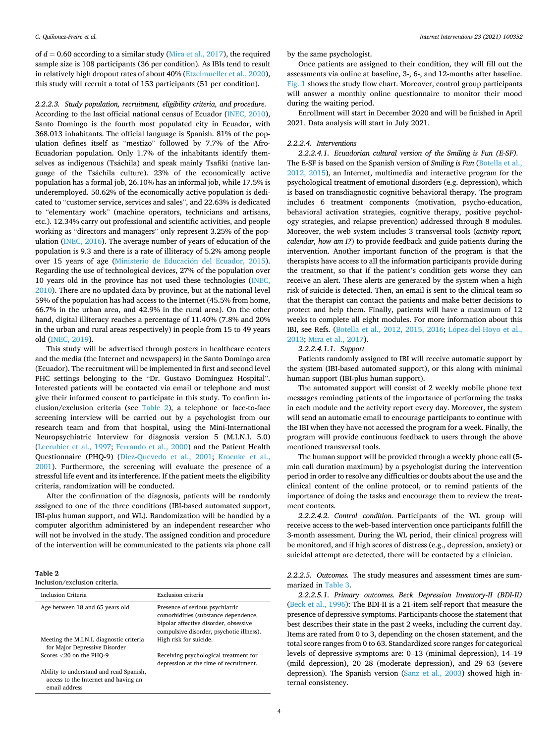of  $d = 0.60$  according to a similar study [\(Mira et al., 2017](#page-8-0)), the required sample size is 108 participants (36 per condition). As IBIs tend to result in relatively high dropout rates of about 40% [\(Etzelmueller et al., 2020](#page-7-0)), this study will recruit a total of 153 participants (51 per condition).

*2.2.2.3. Study population, recruitment, eligibility criteria, and procedure.*  According to the last official national census of Ecuador ([INEC, 2010](#page-6-0)), Santo Domingo is the fourth most populated city in Ecuador, with 368.013 inhabitants. The official language is Spanish. 81% of the population defines itself as "mestizo" followed by 7.7% of the Afro-Ecuadorian population. Only 1.7% of the inhabitants identify themselves as indigenous (Tsáchila) and speak mainly Tsafiki (native language of the Tsáchila culture). 23% of the economically active population has a formal job, 26.10% has an informal job, while 17.5% is underemployed. 50.62% of the economically active population is dedicated to "customer service, services and sales", and 22.63% is dedicated to "elementary work" (machine operators, technicians and artisans, etc.). 12.34% carry out professional and scientific activities, and people working as "directors and managers" only represent 3.25% of the population ([INEC, 2016\)](#page-6-0). The average number of years of education of the population is 9.3 and there is a rate of illiteracy of 5.2% among people over 15 years of age (Ministerio de Educación del Ecuador, 2015). Regarding the use of technological devices, 27% of the population over 10 years old in the province has not used these technologies [\(INEC,](#page-6-0)  [2010\)](#page-6-0). There are no updated data by province, but at the national level 59% of the population has had access to the Internet (45.5% from home, 66.7% in the urban area, and 42.9% in the rural area). On the other hand, digital illiteracy reaches a percentage of 11.40% (7.8% and 20% in the urban and rural areas respectively) in people from 15 to 49 years old [\(INEC, 2019\)](#page-6-0).

This study will be advertised through posters in healthcare centers and the media (the Internet and newspapers) in the Santo Domingo area (Ecuador). The recruitment will be implemented in first and second level PHC settings belonging to the "Dr. Gustavo Domínguez Hospital". Interested patients will be contacted via email or telephone and must give their informed consent to participate in this study. To confirm inclusion/exclusion criteria (see Table 2), a telephone or face-to-face screening interview will be carried out by a psychologist from our research team and from that hospital, using the Mini-International Neuropsychiatric Interview for diagnosis version 5 (M.I.N.I. 5.0) ([Lecrubier et al., 1997;](#page-8-0) [Ferrando et al., 2000\)](#page-7-0) and the Patient Health Questionnaire (PHQ-9) [\(Diez-Quevedo et al., 2001;](#page-7-0) [Kroenke et al.,](#page-7-0)  [2001\)](#page-7-0). Furthermore, the screening will evaluate the presence of a stressful life event and its interference. If the patient meets the eligibility criteria, randomization will be conducted.

After the confirmation of the diagnosis, patients will be randomly assigned to one of the three conditions (IBI-based automated support, IBI-plus human support, and WL). Randomization will be handled by a computer algorithm administered by an independent researcher who will not be involved in the study. The assigned condition and procedure of the intervention will be communicated to the patients via phone call

| anie |  |
|------|--|
|------|--|

Inclusion/exclusion criteria.

| Inclusion Criteria                                                                               | Exclusion criteria                                                                                                                                           |
|--------------------------------------------------------------------------------------------------|--------------------------------------------------------------------------------------------------------------------------------------------------------------|
| Age between 18 and 65 years old                                                                  | Presence of serious psychiatric<br>comorbidities (substance dependence,<br>bipolar affective disorder, obsessive<br>compulsive disorder, psychotic illness). |
| Meeting the M.I.N.I. diagnostic criteria<br>for Major Depressive Disorder                        | High risk for suicide.                                                                                                                                       |
| Scores $<$ 20 on the PHO-9                                                                       | Receiving psychological treatment for<br>depression at the time of recruitment.                                                                              |
| Ability to understand and read Spanish,<br>access to the Internet and having an<br>email address |                                                                                                                                                              |

by the same psychologist.

Once patients are assigned to their condition, they will fill out the assessments via online at baseline, 3-, 6-, and 12-months after baseline. [Fig. 1](#page-4-0) shows the study flow chart. Moreover, control group participants will answer a monthly online questionnaire to monitor their mood during the waiting period.

Enrollment will start in December 2020 and will be finished in April 2021. Data analysis will start in July 2021.

#### *2.2.2.4. Interventions*

*2.2.2.4.1. Ecuadorian cultural version of the Smiling is Fun (E-SF).*  The E-SF is based on the Spanish version of *Smiling is Fun* [\(Botella et al.,](#page-7-0)  [2012, 2015\)](#page-7-0), an Internet, multimedia and interactive program for the psychological treatment of emotional disorders (e.g. depression), which is based on transdiagnostic cognitive behavioral therapy. The program includes 6 treatment components (motivation, psycho-education, behavioral activation strategies, cognitive therapy, positive psychology strategies, and relapse prevention) addressed through 8 modules. Moreover, the web system includes 3 transversal tools (*activity report, calendar, how am I?*) to provide feedback and guide patients during the intervention. Another important function of the program is that the therapists have access to all the information participants provide during the treatment, so that if the patient's condition gets worse they can receive an alert. These alerts are generated by the system when a high risk of suicide is detected. Then, an email is sent to the clinical team so that the therapist can contact the patients and make better decisions to protect and help them. Finally, patients will have a maximum of 12 weeks to complete all eight modules. For more information about this IBI, see Refs. ([Botella et al., 2012, 2015, 2016;](#page-7-0) López-del-Hoyo et al., [2013; Mira et al., 2017](#page-8-0)).

#### *2.2.2.4.1.1. Support*

Patients randomly assigned to IBI will receive automatic support by the system (IBI-based automated support), or this along with minimal human support (IBI-plus human support).

The automated support will consist of 2 weekly mobile phone text messages reminding patients of the importance of performing the tasks in each module and the activity report every day. Moreover, the system will send an automatic email to encourage participants to continue with the IBI when they have not accessed the program for a week. Finally, the program will provide continuous feedback to users through the above mentioned transversal tools.

The human support will be provided through a weekly phone call (5 min call duration maximum) by a psychologist during the intervention period in order to resolve any difficulties or doubts about the use and the clinical content of the online protocol, or to remind patients of the importance of doing the tasks and encourage them to review the treatment contents.

*2.2.2.4.2. Control condition.* Participants of the WL group will receive access to the web-based intervention once participants fulfill the 3-month assessment. During the WL period, their clinical progress will be monitored, and if high scores of distress (e.g., depression, anxiety) or suicidal attempt are detected, there will be contacted by a clinician.

*2.2.2.5. Outcomes.* The study measures and assessment times are summarized in [Table 3](#page-5-0).

*2.2.2.5.1. Primary outcomes. Beck Depression Inventory-II (BDI-II)*  ([Beck et al., 1996\)](#page-7-0): The BDI-II is a 21-item self-report that measure the presence of depressive symptoms. Participants choose the statement that best describes their state in the past 2 weeks, including the current day. Items are rated from 0 to 3, depending on the chosen statement, and the total score ranges from 0 to 63. Standardized score ranges for categorical levels of depressive symptoms are: 0–13 (minimal depression), 14–19 (mild depression), 20–28 (moderate depression), and 29–63 (severe depression). The Spanish version [\(Sanz et al., 2003](#page-8-0)) showed high internal consistency.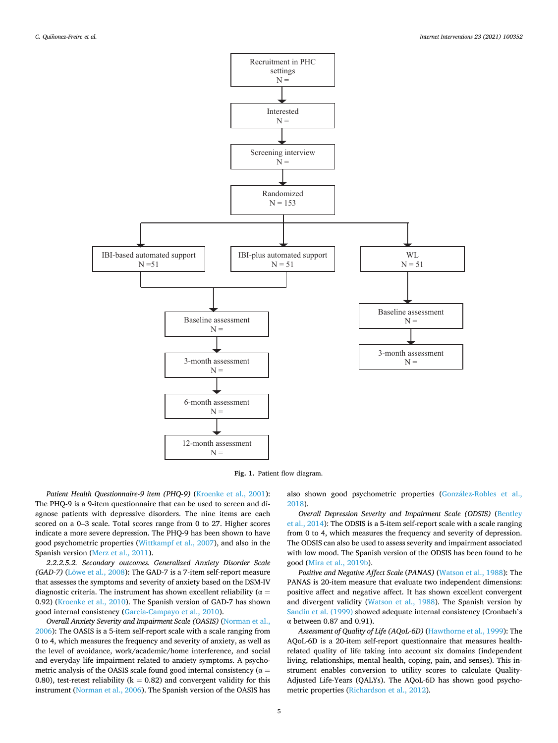<span id="page-4-0"></span>

**Fig. 1.** Patient flow diagram.

Patient Health Questionnaire-9 item (PHQ-9) ([Kroenke et al., 2001](#page-7-0)): The PHQ-9 is a 9-item questionnaire that can be used to screen and diagnose patients with depressive disorders. The nine items are each scored on a 0–3 scale. Total scores range from 0 to 27. Higher scores indicate a more severe depression. The PHQ-9 has been shown to have good psychometric properties [\(Wittkampf et al., 2007](#page-8-0)), and also in the Spanish version [\(Merz et al., 2011\)](#page-8-0).

*2.2.2.5.2. Secondary outcomes. Generalized Anxiety Disorder Scale (GAD-7)* (Lowe [et al., 2008](#page-8-0)): The GAD-7 is a 7-item self-report measure that assesses the symptoms and severity of anxiety based on the DSM-IV diagnostic criteria. The instrument has shown excellent reliability ( $\alpha =$ 0.92) ([Kroenke et al., 2010](#page-7-0)). The Spanish version of GAD-7 has shown good internal consistency [\(García-Campayo et al., 2010](#page-7-0)).

*Overall Anxiety Severity and Impairment Scale (OASIS)* ([Norman et al.,](#page-8-0)  [2006\)](#page-8-0): The OASIS is a 5-item self-report scale with a scale ranging from 0 to 4, which measures the frequency and severity of anxiety, as well as the level of avoidance, work/academic/home interference, and social and everyday life impairment related to anxiety symptoms. A psychometric analysis of the OASIS scale found good internal consistency ( $\alpha$  = 0.80), test-retest reliability ( $k = 0.82$ ) and convergent validity for this instrument [\(Norman et al., 2006](#page-8-0)). The Spanish version of the OASIS has also shown good psychometric properties (González-Robles et al., [2018\)](#page-7-0).

*Overall Depression Severity and Impairment Scale (ODSIS)* (Bentley [et al., 2014\)](#page-7-0): The ODSIS is a 5-item self-report scale with a scale ranging from 0 to 4, which measures the frequency and severity of depression. The ODSIS can also be used to assess severity and impairment associated with low mood. The Spanish version of the ODSIS has been found to be good [\(Mira et al., 2019b\)](#page-8-0).

*Positive and Negative Affect Scale* (*PANAS)* [\(Watson et al., 1988](#page-8-0)): The PANAS is 20-item measure that evaluate two independent dimensions: positive affect and negative affect. It has shown excellent convergent and divergent validity ([Watson et al., 1988](#page-8-0)). The Spanish version by [Sandín et al. \(1999\)](#page-8-0) showed adequate internal consistency (Cronbach's α between 0.87 and 0.91).

*Assessment of Quality of Life (AQoL-6D)* [\(Hawthorne et al., 1999](#page-7-0)): The AQoL-6D is a 20-item self-report questionnaire that measures healthrelated quality of life taking into account six domains (independent living, relationships, mental health, coping, pain, and senses). This instrument enables conversion to utility scores to calculate Quality-Adjusted Life-Years (QALYs). The AQoL-6D has shown good psychometric properties ([Richardson et al., 2012\)](#page-8-0).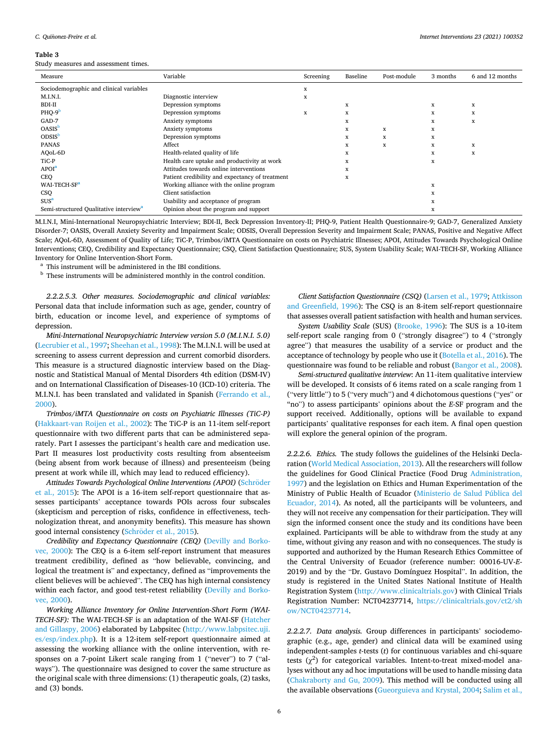#### <span id="page-5-0"></span>**Table 3**

Study measures and assessment times.

| Measure                                            | Variable                                        | Screening | Baseline | Post-module | 3 months | 6 and 12 months |
|----------------------------------------------------|-------------------------------------------------|-----------|----------|-------------|----------|-----------------|
| Sociodemographic and clinical variables            |                                                 | x         |          |             |          |                 |
| M.I.N.I.                                           | Diagnostic interview                            | x         |          |             |          |                 |
| BDI-II                                             | Depression symptoms                             |           | x        |             | x        | x               |
| $PHQ-9b$                                           | Depression symptoms                             | x         | x        |             | X        | X               |
| GAD-7                                              | Anxiety symptoms                                |           | x        |             | x        | X               |
| <b>OASIS</b>                                       | Anxiety symptoms                                |           | x        | X           | x        |                 |
| <b>ODSIS</b>                                       | Depression symptoms                             |           | x        | X           | x        |                 |
| <b>PANAS</b>                                       | Affect                                          |           | x        | x           | x        | x               |
| AQoL-6D                                            | Health-related quality of life                  |           | x        |             | x        | X               |
| TiC-P                                              | Health care uptake and productivity at work     |           | X        |             | x        |                 |
| APOI <sup>a</sup>                                  | Attitudes towards online interventions          |           | x        |             |          |                 |
| CEQ                                                | Patient credibility and expectancy of treatment |           | X        |             |          |                 |
| WAI-TECH-SF <sup>a</sup>                           | Working alliance with the online program        |           |          |             | x        |                 |
| CSQ                                                | Client satisfaction                             |           |          |             | x        |                 |
| $SUS^a$                                            | Usability and acceptance of program             |           |          |             | x        |                 |
| Semi-structured Qualitative interview <sup>a</sup> | Opinion about the program and support           |           |          |             | x        |                 |

M.I.N.I, Mini-International Neuropsychiatric Interview; BDI-II, Beck Depression Inventory-II; PHQ-9, Patient Health Questionnaire-9; GAD-7, Generalized Anxiety Disorder-7; OASIS, Overall Anxiety Severity and Impairment Scale; ODSIS, Overall Depression Severity and Impairment Scale; PANAS, Positive and Negative Affect Scale; AQoL-6D, Assessment of Quality of Life; TiC-P, Trimbos/iMTA Questionnaire on costs on Psychiatric Illnesses; APOI, Attitudes Towards Psychological Online Interventions; CEQ, Credibility and Expectancy Questionnaire; CSQ, Client Satisfaction Questionnaire; SUS, System Usability Scale; WAI-TECH-SF, Working Alliance Inventory for Online Intervention-Short Form. <br>a This instrument will be administered in the IBI conditions. <br>b These instruments will be administered monthly in the control condition.

*2.2.2.5.3. Other measures. Sociodemographic and clinical variables:*  Personal data that include information such as age, gender, country of birth, education or income level, and experience of symptoms of depression.

*Mini-International Neuropsychiatric Interview version 5.0 (M.I.N.I. 5.0)*  ([Lecrubier et al., 1997](#page-8-0); [Sheehan et al., 1998\)](#page-8-0): The M.I.N.I. will be used at screening to assess current depression and current comorbid disorders. This measure is a structured diagnostic interview based on the Diagnostic and Statistical Manual of Mental Disorders 4th edition (DSM-IV) and on International Classification of Diseases-10 (ICD-10) criteria. The M.I.N.I. has been translated and validated in Spanish ([Ferrando et al.,](#page-7-0)  [2000\)](#page-7-0).

*Trimbos/iMTA Questionnaire on costs on Psychiatric Illnesses (TiC-P)*  ([Hakkaart-van Roijen et al., 2002](#page-7-0)): The TiC-P is an 11-item self-report questionnaire with two different parts that can be administered separately. Part I assesses the participant's health care and medication use. Part II measures lost productivity costs resulting from absenteeism (being absent from work because of illness) and presenteeism (being present at work while ill, which may lead to reduced efficiency).

Attitudes Towards Psychological Online Interventions (APOI) (Schröder [et al., 2015](#page-8-0)): The APOI is a 16-item self-report questionnaire that assesses participants' acceptance towards POIs across four subscales (skepticism and perception of risks, confidence in effectiveness, technologization threat, and anonymity benefits). This measure has shown good internal consistency (Schröder [et al., 2015](#page-8-0)).

*Credibility and Expectancy Questionnaire (CEQ)* ([Devilly and Borko](#page-7-0)[vec, 2000\)](#page-7-0): The CEQ is a 6-item self-report instrument that measures treatment credibility, defined as "how believable, convincing, and logical the treatment is" and expectancy, defined as "improvements the client believes will be achieved". The CEQ has high internal consistency within each factor, and good test-retest reliability ([Devilly and Borko](#page-7-0)[vec, 2000](#page-7-0)).

*Working Alliance Inventory for Online Intervention-Short Form (WAI-TECH-SF):* The WAI-TECH-SF is an adaptation of the WAI-SF ([Hatcher](#page-7-0)  [and Gillaspy, 2006](#page-7-0)) elaborated by Labpsitec [\(http://www.labpsitec.uji.](http://www.labpsitec.uji.es/esp/index.php)  [es/esp/index.php](http://www.labpsitec.uji.es/esp/index.php)). It is a 12-item self-report questionnaire aimed at assessing the working alliance with the online intervention, with responses on a 7-point Likert scale ranging from 1 ("never") to 7 ("always"). The questionnaire was designed to cover the same structure as the original scale with three dimensions: (1) therapeutic goals, (2) tasks, and (3) bonds.

*Client Satisfaction Questionnaire (CSQ)* ([Larsen et al., 1979;](#page-8-0) [Attkisson](#page-6-0)  [and Greenfield, 1996](#page-6-0)): The CSQ is an 8-item self-report questionnaire that assesses overall patient satisfaction with health and human services.

*System Usability Scale* (SUS) [\(Brooke, 1996](#page-7-0)): The SUS is a 10-item self-report scale ranging from 0 ("strongly disagree") to 4 ("strongly agree") that measures the usability of a service or product and the acceptance of technology by people who use it [\(Botella et al., 2016](#page-7-0)). The questionnaire was found to be reliable and robust ([Bangor et al., 2008](#page-6-0)).

*Semi-structured qualitative interview*: An 11-item qualitative interview will be developed. It consists of 6 items rated on a scale ranging from 1 ("very little") to 5 ("very much") and 4 dichotomous questions ("yes" or "no") to assess participants' opinions about the *E*-SF program and the support received. Additionally, options will be available to expand participants' qualitative responses for each item. A final open question will explore the general opinion of the program.

*2.2.2.6. Ethics.* The study follows the guidelines of the Helsinki Declaration [\(World Medical Association, 2013](#page-9-0)). All the researchers will follow the guidelines for Good Clinical Practice (Food Drug [Administration,](#page-6-0)  [1997\)](#page-6-0) and the legislation on Ethics and Human Experimentation of the Ministry of Public Health of Ecuador [\(Ministerio de Salud Pública del](#page-6-0)  [Ecuador, 2014\)](#page-6-0). As noted, all the participants will be volunteers, and they will not receive any compensation for their participation. They will sign the informed consent once the study and its conditions have been explained. Participants will be able to withdraw from the study at any time, without giving any reason and with no consequences. The study is supported and authorized by the Human Research Ethics Committee of the Central University of Ecuador (reference number: 00016-UV-*E*-2019) and by the "Dr. Gustavo Domínguez Hospital". In addition, the study is registered in the United States National Institute of Health Registration System (<http://www.clinicaltrials.gov>) with Clinical Trials Registration Number: NCT04237714, [https://clinicaltrials.gov/ct2/sh](https://clinicaltrials.gov/ct2/show/NCT04237714)  [ow/NCT04237714.](https://clinicaltrials.gov/ct2/show/NCT04237714)

*2.2.2.7. Data analysis.* Group differences in participants' sociodemographic (e.g., age, gender) and clinical data will be examined using independent-samples *t*-tests (*t*) for continuous variables and chi-square tests  $(\chi^2)$  for categorical variables. Intent-to-treat mixed-model analyses without any ad hoc imputations will be used to handle missing data ([Chakraborty and Gu, 2009](#page-7-0)). This method will be conducted using all the available observations [\(Gueorguieva and Krystal, 2004](#page-7-0); [Salim et al.,](#page-8-0)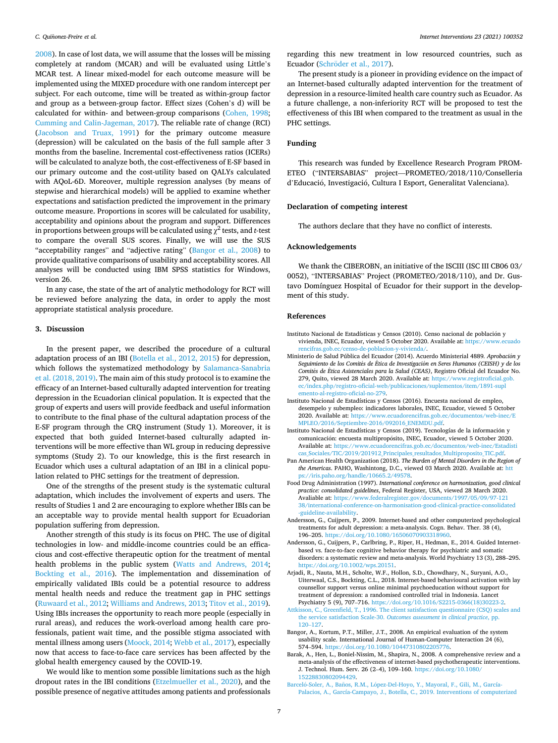<span id="page-6-0"></span>[2008\)](#page-8-0). In case of lost data, we will assume that the losses will be missing completely at random (MCAR) and will be evaluated using Little's MCAR test. A linear mixed-model for each outcome measure will be implemented using the MIXED procedure with one random intercept per subject. For each outcome, time will be treated as within-group factor and group as a between-group factor. Effect sizes (Cohen's d) will be calculated for within- and between-group comparisons ([Cohen, 1998](#page-7-0); [Cumming and Calin-Jageman, 2017\)](#page-7-0). The reliable rate of change (RCI) ([Jacobson and Truax, 1991](#page-7-0)) for the primary outcome measure (depression) will be calculated on the basis of the full sample after 3 months from the baseline. Incremental cost-effectiveness ratios (ICERs) will be calculated to analyze both, the cost-effectiveness of E-SF based in our primary outcome and the cost-utility based on QALYs calculated with AQoL-6D. Moreover, multiple regression analyses (by means of stepwise and hierarchical models) will be applied to examine whether expectations and satisfaction predicted the improvement in the primary outcome measure. Proportions in scores will be calculated for usability, acceptability and opinions about the program and support. Differences in proportions between groups will be calculated using  $\chi^2$  tests, and *t*-test to compare the overall SUS scores. Finally, we will use the SUS "acceptability ranges" and "adjective rating" (Bangor et al., 2008) to provide qualitative comparisons of usability and acceptability scores. All analyses will be conducted using IBM SPSS statistics for Windows, version 26.

In any case, the state of the art of analytic methodology for RCT will be reviewed before analyzing the data, in order to apply the most appropriate statistical analysis procedure.

#### **3. Discussion**

In the present paper, we described the procedure of a cultural adaptation process of an IBI ([Botella et al., 2012, 2015](#page-7-0)) for depression, which follows the systematized methodology by Salamanca-Sanabria [et al. \(2018, 2019\)](#page-8-0). The main aim of this study protocol is to examine the efficacy of an Internet-based culturally adapted intervention for treating depression in the Ecuadorian clinical population. It is expected that the group of experts and users will provide feedback and useful information to contribute to the final phase of the cultural adaptation process of the E-SF program through the CRQ instrument (Study 1). Moreover, it is expected that both guided Internet-based culturally adapted interventions will be more effective than WL group in reducing depressive symptoms (Study 2). To our knowledge, this is the first research in Ecuador which uses a cultural adaptation of an IBI in a clinical population related to PHC settings for the treatment of depression.

One of the strengths of the present study is the systematic cultural adaptation, which includes the involvement of experts and users. The results of Studies 1 and 2 are encouraging to explore whether IBIs can be an acceptable way to provide mental health support for Ecuadorian population suffering from depression.

Another strength of this study is its focus on PHC. The use of digital technologies in low- and middle-income countries could be an efficacious and cost-effective therapeutic option for the treatment of mental health problems in the public system ([Watts and Andrews, 2014](#page-8-0); [Bockting et al., 2016\)](#page-7-0). The implementation and dissemination of empirically validated IBIs could be a potential resource to address mental health needs and reduce the treatment gap in PHC settings ([Ruwaard et al., 2012; Williams and Andrews, 2013](#page-8-0); [Titov et al., 2019](#page-8-0)). Using IBIs increases the opportunity to reach more people (especially in rural areas), and reduces the work-overload among health care professionals, patient wait time, and the possible stigma associated with mental illness among users [\(Moock, 2014; Webb et al., 2017\)](#page-8-0), especially now that access to face-to-face care services has been affected by the global health emergency caused by the COVID-19.

We would like to mention some possible limitations such as the high dropout rates in the IBI conditions [\(Etzelmueller et al., 2020\)](#page-7-0), and the possible presence of negative attitudes among patients and professionals regarding this new treatment in low resourced countries, such as Ecuador (Schröder [et al., 2017\)](#page-8-0).

The present study is a pioneer in providing evidence on the impact of an Internet-based culturally adapted intervention for the treatment of depression in a resource-limited health care country such as Ecuador. As a future challenge, a non-inferiority RCT will be proposed to test the effectiveness of this IBI when compared to the treatment as usual in the PHC settings.

### **Funding**

This research was funded by Excellence Research Program PROM-ETEO ("INTERSABIAS" project—PROMETEO/2018/110/Conselleria d'Educació, Investigació, Cultura I Esport, Generalitat Valenciana).

#### **Declaration of competing interest**

The authors declare that they have no conflict of interests.

#### **Acknowledgements**

We thank the CIBEROBN, an initiative of the ISCIII (ISC III CB06 03/ 0052), "INTERSABIAS" Project (PROMETEO/2018/110), and Dr. Gustavo Domínguez Hospital of Ecuador for their support in the development of this study.

#### **References**

- Instituto Nacional de Estadísticas y Censos (2010). Censo nacional de población y vivienda, INEC, Ecuador, viewed 5 October 2020. Available at: [https://www.ecuado](https://www.ecuadorencifras.gob.ec/censo-de-poblacion-y-vivienda/)  [rencifras.gob.ec/censo-de-poblacion-y-vivienda/](https://www.ecuadorencifras.gob.ec/censo-de-poblacion-y-vivienda/).
- Ministerio de Salud Pública del Ecuador (2014). Acuerdo Ministerial 4889. Aprobación y *Seguimiento de los Comit*´*es de Etica* ´ *de Investigacion* ´ *en Seres Humanos (CEISH) y de los Comit*´*es de Etica* ´ *Asistenciales para la Salud (CEAS)*, Registro Oficial del Ecuador No. 279, Quito, viewed 28 March 2020. Available at: [https://www.registroficial.gob.](https://www.registroficial.gob.ec/index.php/registro-oficial-web/publicaciones/suplementos/item/1891-suplemento-al-registro-oficial-no-279) [ec/index.php/registro-oficial-web/publicaciones/suplementos/item/1891-supl](https://www.registroficial.gob.ec/index.php/registro-oficial-web/publicaciones/suplementos/item/1891-suplemento-al-registro-oficial-no-279)  [emento-al-registro-oficial-no-279.](https://www.registroficial.gob.ec/index.php/registro-oficial-web/publicaciones/suplementos/item/1891-suplemento-al-registro-oficial-no-279)
- Instituto Nacional de Estadísticas y Censos (2016). Encuesta nacional de empleo, desempelo y subempleo: indicadores laborales, INEC, Ecuador, viewed 5 October 2020. Available at: [https://www.ecuadorencifras.gob.ec/documentos/web-inec/E](https://www.ecuadorencifras.gob.ec/documentos/web-inec/EMPLEO/2016/Septiembre-2016/092016_ENEMDU.pdf)  [MPLEO/2016/Septiembre-2016/092016\\_ENEMDU.pdf.](https://www.ecuadorencifras.gob.ec/documentos/web-inec/EMPLEO/2016/Septiembre-2016/092016_ENEMDU.pdf)
- Instituto Nacional de Estadísticas y Censos (2019). Tecnologías de la información y comunicación: encuesta multipropósito, INEC, Ecuador, viewed 5 October 2020. Available at: [https://www.ecuadorencifras.gob.ec/documentos/web-inec/Estadisti](https://www.ecuadorencifras.gob.ec/documentos/web-inec/Estadisticas_Sociales/TIC/2019/201912_Principales_resultados_Multiproposito_TIC.pdf)  [cas\\_Sociales/TIC/2019/201912\\_Principales\\_resultados\\_Multiproposito\\_TIC.pdf](https://www.ecuadorencifras.gob.ec/documentos/web-inec/Estadisticas_Sociales/TIC/2019/201912_Principales_resultados_Multiproposito_TIC.pdf).
- Pan American Health Organization (2018). *The Burden of Mental Disorders in the Region of the Americas*. PAHO, Washintong, D.C., viewed 03 March 2020. Available at: [htt](https://iris.paho.org/handle/10665.2/49578)  [ps://iris.paho.org/handle/10665.2/49578](https://iris.paho.org/handle/10665.2/49578).
- Food Drug Administration (1997). *International conference on harmonization, good clinical practice: consolidated guidelines*, Federal Register, USA, viewed 28 March 2020. Avaliable at: [https://www.federalregister.gov/documents/1997/05/09/97-121](https://www.federalregister.gov/documents/1997/05/09/97-12138/international-conference-on-harmonisation-good-clinical-practice-consolidated-guideline-availability) [38/international-conference-on-harmonisation-good-clinical-practice-consolidated](https://www.federalregister.gov/documents/1997/05/09/97-12138/international-conference-on-harmonisation-good-clinical-practice-consolidated-guideline-availability)  [-guideline-availability.](https://www.federalregister.gov/documents/1997/05/09/97-12138/international-conference-on-harmonisation-good-clinical-practice-consolidated-guideline-availability)
- Andersson, G., Cuijpers, P., 2009. Internet-based and other computerized psychological treatments for adult depression: a meta-analysis. Cogn. Behav. Ther. 38 (4), 196–205. <https://doi.org/10.1080/16506070903318960>.
- Andersson, G., Cuijpers, P., Carlbring, P., Riper, H., Hedman, E., 2014. Guided Internetbased vs. face-to-face cognitive behavior therapy for psychiatric and somatic disorders: a systematic review and meta-analysis. World Psychiatry 13 (3), 288–295. <https://doi.org/10.1002/wps.20151>.
- Arjadi, R., Nauta, M.H., Scholte, W.F., Hollon, S.D., Chowdhary, N., Suryani, A.O., Uiterwaal, C.S., Bockting, C.L., 2018. Internet-based behavioural activation with lay counsellor support versus online minimal psychoeducation without support for treatment of depression: a randomised controlled trial in Indonesia. Lancet Psychiatry 5 (9), 707–716. [https://doi.org/10.1016/S2215-0366\(18\)30223-2](https://doi.org/10.1016/S2215-0366(18)30223-2).
- [Attkisson, C., Greenfield, T., 1996. The client satisfaction questionnaire \(CSQ\) scales and](http://refhub.elsevier.com/S2214-7829(20)30118-4/rf0020)  the service satisfaction Scale-30. *[Outcomes assessment in clinical practice](http://refhub.elsevier.com/S2214-7829(20)30118-4/rf0020)*, pp. 120–[127](http://refhub.elsevier.com/S2214-7829(20)30118-4/rf0020).
- Bangor, A., Kortum, P.T., Miller, J.T., 2008. An empirical evaluation of the system usability scale. International Journal of Human-Computer Interaction 24 (6), 574–594. <https://doi.org/10.1080/10447310802205776>.
- Barak, A., Hen, L., Boniel-Nissim, M., Shapira, N., 2008. A comprehensive review and a meta-analysis of the effectiveness of internet-based psychotherapeutic interventions. J. Technol. Hum. Serv. 26 (2–4), 109–160. [https://doi.org/10.1080/](https://doi.org/10.1080/15228830802094429)  [15228830802094429.](https://doi.org/10.1080/15228830802094429)
- Barceló-Soler, A., Baños, R.M., López-Del-Hoyo, [Y., Mayoral, F., Gili, M., García-](http://refhub.elsevier.com/S2214-7829(20)30118-4/rf0035)[Palacios, A., García-Campayo, J., Botella, C., 2019. Interventions of computerized](http://refhub.elsevier.com/S2214-7829(20)30118-4/rf0035)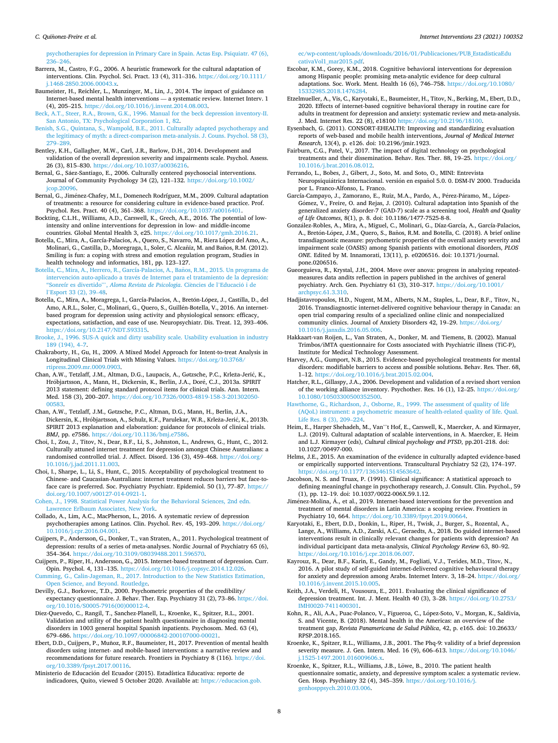#### <span id="page-7-0"></span>*C. Quinonez-Freire* ˜ *et al.*

[psychotherapies for depression in Primary Care in Spain. Actas Esp. Psiquiatr. 47 \(6\),](http://refhub.elsevier.com/S2214-7829(20)30118-4/rf0035)   $236 - 246$  $236 - 246$ 

Barrera, M., Castro, F.G., 2006. A heuristic framework for the cultural adaptation of interventions. Clin. Psychol. Sci. Pract. 13 (4), 311–316. [https://doi.org/10.1111/](https://doi.org/10.1111/j.1468-2850.2006.00043.x) [j.1468-2850.2006.00043.x.](https://doi.org/10.1111/j.1468-2850.2006.00043.x)

- Baumeister, H., Reichler, L., Munzinger, M., Lin, J., 2014. The impact of guidance on Internet-based mental health interventions — a systematic review. Internet Interv. 1 (4), 205–215.<https://doi.org/10.1016/j.invent.2014.08.003>.
- [Beck, A.T., Steer, R.A., Brown, G.K., 1996. Manual for the beck depression inventory-II.](http://refhub.elsevier.com/S2214-7829(20)30118-4/rf0050)  [San Antonio, TX: Psychological Corporation 1, 82](http://refhub.elsevier.com/S2214-7829(20)30118-4/rf0050).
- [Benish, S.G., Quintana, S., Wampold, B.E., 2011. Culturally adapted psychotherapy and](http://refhub.elsevier.com/S2214-7829(20)30118-4/rf0055)  [the legitimacy of myth: a direct-comparison meta-analysis. J. Couns. Psychol. 58 \(3\),](http://refhub.elsevier.com/S2214-7829(20)30118-4/rf0055)  279–[289](http://refhub.elsevier.com/S2214-7829(20)30118-4/rf0055).
- Bentley, K.H., Gallagher, M.W., Carl, J.R., Barlow, D.H., 2014. Development and validation of the overall depression severity and impairments scale. Psychol. Assess. 26 (3), 815–830. [https://doi.org/10.1037/a0036216.](https://doi.org/10.1037/a0036216)
- Bernal, G., Sáez-Santiago, E., 2006. Culturally centered psychosocial interventions. Journal of Community Psychology 34 (2), 121–132. [https://doi.org/10.1002/](https://doi.org/10.1002/jcop.20096)   $i$ cop. 2009 $i$
- Bernal, G., Jiménez-Chafey, M.I., Domenech Rodríguez, M.M., 2009. Cultural adaptation of treatments: a resource for considering culture in evidence-based practice. Prof. Psychol. Res. Pract. 40 (4), 361–368. [https://doi.org/10.1037/a0016401.](https://doi.org/10.1037/a0016401)
- Bockting, C.L.H., Williams, A.D., Carswell, K., Grech, A.E., 2016. The potential of lowintensity and online interventions for depression in low- and middle-income countries. Global Mental Health 3, e25. [https://doi.org/10.1017/gmh.2016.21.](https://doi.org/10.1017/gmh.2016.21)
- Botella, C., Mira, A., García-Palacios, A., Quero, S., Navarro, M., Riera López del Amo, A., Molinari, G., Castilla, D., Moregraga, I., Soler, C. Alcaniz, M. and Banos, R.M. (2012). Smiling is fun: a coping with stress and emotion regulation program, Studies in health technology and informatics, 181, pp. 123–127.
- Botella, C., Mira, A., Herrero, R., García-Palacios, A., Baños, R.M., 2015. Un programa de intervención auto-aplicado a través de Internet para el tratamiento de la depresión: 'Sonreír es divertido"', [Aloma Revista de Psicologia](http://refhub.elsevier.com/S2214-7829(20)30118-4/rf0080). Ciències de l'Educació i de l'[Esport 33 \(2\), 39](http://refhub.elsevier.com/S2214-7829(20)30118-4/rf0080)–48.
- Botella, C., Mira, A., Moragrega, I., García-Palacios, A., Bretón-López, J., Castilla, D., del Amo, A.R.L., Soler, C., Molinari, G., Quero, S., Guillén-Botella, V., 2016. An internetbased program for depression using activity and physiological sensors: efficacy, expectations, satisfaction, and ease of use. Neuropsychiatr. Dis. Treat. 12, 393–406. <https://doi.org/10.2147/NDT.S93315>.
- [Brooke, J., 1996. SUS-A quick and dirty usability scale. Usability evaluation in industry](http://refhub.elsevier.com/S2214-7829(20)30118-4/rf0090)  [189 \(194\), 4](http://refhub.elsevier.com/S2214-7829(20)30118-4/rf0090)–7.
- Chakraborty, H., Gu, H., 2009. A Mixed Model Approach for Intent-to-treat Analysis in Longitudinal Clinical Trials with Missing Values. [https://doi.org/10.3768/](https://doi.org/10.3768/rtipress.2009.mr.0009.0903)  $\text{rs.2009.mr.0009.0903}.$
- Chan, A.W., Tetzlaff, J.M., Altman, D.G., Laupacis, A., Gøtzsche, P.C., Krleža-Jerić, K., Hróbjartsson, A., Mann, H., Dickersin, K., Berlin, J.A., Doré, C.J., 2013a. SPIRIT 2013 statement: defining standard protocol items for clinical trials. Ann. Intern. Med. 158 (3), 200–207. [https://doi.org/10.7326/0003-4819-158-3-201302050-](https://doi.org/10.7326/0003-4819-158-3-201302050-00583)  [00583.](https://doi.org/10.7326/0003-4819-158-3-201302050-00583)
- Chan, A.W., Tetzlaff, J.M., Gøtzsche, P.C., Altman, D.G., Mann, H., Berlin, J.A., Dickersin, K., Hróbjartsson, A., Schulz, K.F., Parulekar, W.R., Krleža-Jerić, K., 2013b. SPIRIT 2013 explanation and elaboration: guidance for protocols of clinical trials. *BMJ*, pp. e7586.<https://doi.org/10.1136/bmj.e7586>.
- Choi, I., Zou, J., Titov, N., Dear, B.F., Li, S., Johnston, L., Andrews, G., Hunt, C., 2012. Culturally attuned internet treatment for depression amongst Chinese Australians: a randomised controlled trial. J. Affect. Disord. 136 (3), 459–468. [https://doi.org/](https://doi.org/10.1016/j.jad.2011.11.003) [10.1016/j.jad.2011.11.003](https://doi.org/10.1016/j.jad.2011.11.003).
- Choi, I., Sharpe, L., Li, S., Hunt, C., 2015. Acceptability of psychological treatment to Chinese- and Caucasian-Australians: internet treatment reduces barriers but face-toface care is preferred. Soc. Psychiatry Psychiatr. Epidemiol. 50 (1), 77–87. [https://](https://doi.org/10.1007/s00127-014-0921-1)  [doi.org/10.1007/s00127-014-0921-1.](https://doi.org/10.1007/s00127-014-0921-1)
- [Cohen, J., 1998. Statistical Power Analysis for the Behavioral Sciences, 2nd edn.](http://refhub.elsevier.com/S2214-7829(20)30118-4/rf0120)  [Lawrence Erlbaum Associates, New York.](http://refhub.elsevier.com/S2214-7829(20)30118-4/rf0120)
- Collado, A., Lim, A.C., MacPherson, L., 2016. A systematic review of depression psychotherapies among Latinos. Clin. Psychol. Rev. 45, 193–209. [https://doi.org/](https://doi.org/10.1016/j.cpr.2016.04.001) [10.1016/j.cpr.2016.04.001](https://doi.org/10.1016/j.cpr.2016.04.001).
- Cuijpers, P., Andersson, G., Donker, T., van Straten, A., 2011. Psychological treatment of depression: results of a series of meta-analyses. Nordic Journal of Psychiatry 65 (6), 354–364. <https://doi.org/10.3109/08039488.2011.596570>.
- Cuijpers, P., Riper, H., Andersson, G., 2015. Internet-based treatment of depression. Curr. Opin. Psychol. 4, 131–135. [https://doi.org/10.1016/j.copsyc.2014.12.026.](https://doi.org/10.1016/j.copsyc.2014.12.026)
- [Cumming, G., Calin-Jageman, R., 2017. Introduction to the New Statistics Estimation,](http://refhub.elsevier.com/S2214-7829(20)30118-4/rf0140)  [Open Science, and Beyond. Routledge.](http://refhub.elsevier.com/S2214-7829(20)30118-4/rf0140)
- Devilly, G.J., Borkovec, T.D., 2000. Psychometric properties of the credibility/ expectancy questionnaire. J. Behav. Ther. Exp. Psychiatry 31 (2), 73–86. [https://doi.](https://doi.org/10.1016/S0005-7916(00)00012-4)  [org/10.1016/S0005-7916\(00\)00012-4](https://doi.org/10.1016/S0005-7916(00)00012-4).
- Diez-Quevedo, C., Rangil, T., Sanchez-Planell, L., Kroenke, K., Spitzer, R.L., 2001. Validation and utility of the patient health questionnaire in diagnosing mental disorders in 1003 general hospital Spanish inpatients. Psychosom. Med. 63 (4), 679–686. <https://doi.org/10.1097/00006842-200107000-00021>.
- Ebert, D.D., Cuijpers, P., Muñoz, R.F., Baumeister, H., 2017. Prevention of mental health disorders using internet- and mobile-based interventions: a narrative review and recommendations for future research. Frontiers in Psychiatry 8 (116). [https://doi.](https://doi.org/10.3389/fpsyt.2017.00116)  [org/10.3389/fpsyt.2017.00116](https://doi.org/10.3389/fpsyt.2017.00116).
- Ministerio de Educación del Ecuador (2015). Estadística Educativa: reporte de indicadores, Quito, viewed 5 October 2020. Available at: [https://educacion.gob.](https://educacion.gob.ec/wp-content/uploads/downloads/2016/01/Publicaciones/PUB_EstadisticaEducativaVol1_mar2015.pdf)

[ec/wp-content/uploads/downloads/2016/01/Publicaciones/PUB\\_EstadisticaEdu](https://educacion.gob.ec/wp-content/uploads/downloads/2016/01/Publicaciones/PUB_EstadisticaEducativaVol1_mar2015.pdf)  [cativaVol1\\_mar2015.pdf](https://educacion.gob.ec/wp-content/uploads/downloads/2016/01/Publicaciones/PUB_EstadisticaEducativaVol1_mar2015.pdf).

- Escobar, K.M., Gorey, K.M., 2018. Cognitive behavioral interventions for depression among Hispanic people: promising meta-analytic evidence for deep cultural adaptations. Soc. Work. Ment. Health 16 (6), 746–758. [https://doi.org/10.1080/](https://doi.org/10.1080/15332985.2018.1476284)  [15332985.2018.1476284](https://doi.org/10.1080/15332985.2018.1476284).
- Etzelmueller, A., Vis, C., Karyotaki, E., Baumeister, H., Titov, N., Berking, M., Ebert, D.D., 2020. Effects of internet-based cognitive behavioral therapy in routine care for adults in treatment for depression and anxiety: systematic review and meta-analysis. J. Med. Internet Res. 22 (8), e18100 [https://doi.org/10.2196/18100.](https://doi.org/10.2196/18100)
- Eysenbach, G. (2011). CONSORT-EHEALTH: Improving and standardizing evaluation reports of web-based and mobile health interventions, *Journal of Medical Internet Research*, 13(4), p. e126. doi: 10.2196/jmir.1923.
- Fairburn, C.G., Patel, V., 2017. The impact of digital technology on psychological treatments and their dissemination. Behav. Res. Ther. 88, 19–25. [https://doi.org/](https://doi.org/10.1016/j.brat.2016.08.012)  [10.1016/j.brat.2016.08.012.](https://doi.org/10.1016/j.brat.2016.08.012)
- Ferrando, L., Bobes, J., Gibert, J., Soto, M. and Soto, O., MINI: Entrevista Neuropsiquiátrica Internacional. versión en español 5.0. 0. DSM-IV 2000. Traducida por L. Franco-Alfonso, L. Franco.
- García-Campayo, J., Zamorano, E., Ruiz, M.A., Pardo, A., Pérez-Páramo, M., López-Gómez, V., Freire, O. and Rejas, J. (2010). Cultural adaptation into Spanish of the generalized anxiety disorder-7 (GAD-7) scale as a screening tool, *Health and Quality of Life Outcomes*, 8(1), p. 8. doi: 10.1186/1477-7525-8-8.
- González-Robles, A., Mira, A., Miguel, C., Molinari, G., Díaz-García, A., García-Palacios, A., Bretón-López, J.M., Quero, S., Baños, R.M. and Botella, C. (2018). A brief online transdiagnostic measure: psychometric properties of the overall anxiety severity and impairment scale (OASIS) among Spanish patients with emotional disorders, *PLOS ONE*. Edited by M. Innamorati, 13(11), p. e0206516. doi: 10.1371/journal. pone.0206516.
- Gueorguieva, R., Krystal, J.H., 2004. Move over anova: progress in analyzing repeatedmeasures data andits reflection in papers published in the archives of general psychiatry. Arch. Gen. Psychiatry 61 (3), 310–317. [https://doi.org/10.1001/](https://doi.org/10.1001/archpsyc.61.3.310)  [archpsyc.61.3.310](https://doi.org/10.1001/archpsyc.61.3.310).
- Hadjistavropoulos, H.D., Nugent, M.M., Alberts, N.M., Staples, L., Dear, B.F., Titov, N., 2016. Transdiagnostic internet-delivered cognitive behaviour therapy in Canada: an open trial comparing results of a specialized online clinic and nonspecialized community clinics. Journal of Anxiety Disorders 42, 19–29. [https://doi.org/](https://doi.org/10.1016/j.janxdis.2016.05.006) [10.1016/j.janxdis.2016.05.006](https://doi.org/10.1016/j.janxdis.2016.05.006).
- Hakkaart-van Roijen, L., Van Straten, A., Donker, M. and Tiemens, B. (2002). Manual Trimbos/iMTA questionnaire for Costs associated with Psychiatric illness (TiC-P), Institute for Medical Technology Assessment.
- Harvey, A.G., Gumport, N.B., 2015. Evidence-based psychological treatments for mental disorders: modifiable barriers to access and possible solutions. Behav. Res. Ther. 68, 1–12. [https://doi.org/10.1016/j.brat.2015.02.004.](https://doi.org/10.1016/j.brat.2015.02.004)
- Hatcher, R.L., Gillaspy, J.A., 2006. Development and validation of a revised short version of the working alliance inventory. Psychother. Res. 16 (1), 12–25. [https://doi.org/](https://doi.org/10.1080/10503300500352500)  [10.1080/10503300500352500](https://doi.org/10.1080/10503300500352500).
- [Hawthorne, G., Richardson, J., Osborne, R., 1999. The assessment of quality of life](http://refhub.elsevier.com/S2214-7829(20)30118-4/rf0195)  [\(AQoL\) instrument: a psychometric measure of health-related quality of life. Qual.](http://refhub.elsevier.com/S2214-7829(20)30118-4/rf0195)  [Life Res. 8 \(3\), 209](http://refhub.elsevier.com/S2214-7829(20)30118-4/rf0195)–224.
- Heim, E., Harper Shehadeh, M., Van''t Hof, E., Carswell, K., Maercker, A. and Kirmayer, L.J. (2019). Cultural adaptation of scalable interventions, in A. Maercker, E. Heim and L.J. Kirmayer (eds), *Cultural clinical psychology and PTSD*, pp.201-218. doi: 10.1027/00497-000.
- Helms, J.E., 2015. An examination of the evidence in culturally adapted evidence-based or empirically supported interventions. Transcultural Psychiatry 52 (2), 174–197. [https://doi.org/10.1177/1363461514563642.](https://doi.org/10.1177/1363461514563642)
- Jacobson, N. S. and Truax, P. (1991). Clinical significance: A statistical approach to defining meaningful change in psychotherapy research, J. Consult. Clin. Psychol., 59 (1), pp. 12–19. doi: 10.1037/0022-006X.59.1.12.
- Jiménez-Molina, Á., et al., 2019. Internet-based interventions for the prevention and treatment of mental disorders in Latin America: a scoping review. Frontiers in Psychiatry 10, 664. <https://doi.org/10.3389/fpsyt.2019.00664>.
- Karyotaki, E., Ebert, D.D., Donkin, L., Riper, H., Twisk, J., Burger, S., Rozental, A., Lange, A., Williams, A.D., Zarski, A.C., Geraedts, A., 2018. Do guided internet-based interventions result in clinically relevant changes for patients with depression? An individual participant data meta-analysis, *Clinical Psychology Review* 63, 80–92. //doi.org/10.1016/j.cpr.2018.06.00
- Kayrouz, R., Dear, B.F., Karin, E., Gandy, M., Fogliati, V.J., Terides, M.D., Titov, N., 2016. A pilot study of self-guided internet-delivered cognitive behavioural therapy for anxiety and depression among Arabs. Internet Interv. 3, 18–24. [https://doi.org/](https://doi.org/10.1016/j.invent.2015.10.005)  [10.1016/j.invent.2015.10.005](https://doi.org/10.1016/j.invent.2015.10.005).
- Keith, J.A., Verdeli, H., Vousoura, E., 2011. Evaluating the clinical significance of depression treatment. Int. J. Ment. Health 40 (3), 3–28. [https://doi.org/10.2753/](https://doi.org/10.2753/IMH0020-7411400301)  [IMH0020-7411400301](https://doi.org/10.2753/IMH0020-7411400301).
- Kohn, R., Ali, A.A., Puac-Polanco, V., Figueroa, C., López-Soto, V., Morgan, K., Saldivia, S. and Vicente, B. (2018). Mental health in the Americas: an overview of the treatment gap, *Revista Panamericana de Salud Pública*, 42, p. e165. doi: 10.26633/ RPSP.2018.165.
- Kroenke, K., Spitzer, R.L., Williams, J.B., 2001. The Phq-9: validity of a brief depression severity measure. J. Gen. Intern. Med. 16 (9), 606–613. [https://doi.org/10.1046/](https://doi.org/10.1046/j.1525-1497.2001.016009606.x)  [j.1525-1497.2001.016009606.x](https://doi.org/10.1046/j.1525-1497.2001.016009606.x).
- Kroenke, K., Spitzer, R.L., Williams, J.B., Löwe, B., 2010. The patient health questionnaire somatic, anxiety, and depressive symptom scales: a systematic review. Gen. Hosp. Psychiatry 32 (4), 345–359. [https://doi.org/10.1016/j.](https://doi.org/10.1016/j.genhosppsych.2010.03.006) [genhosppsych.2010.03.006.](https://doi.org/10.1016/j.genhosppsych.2010.03.006)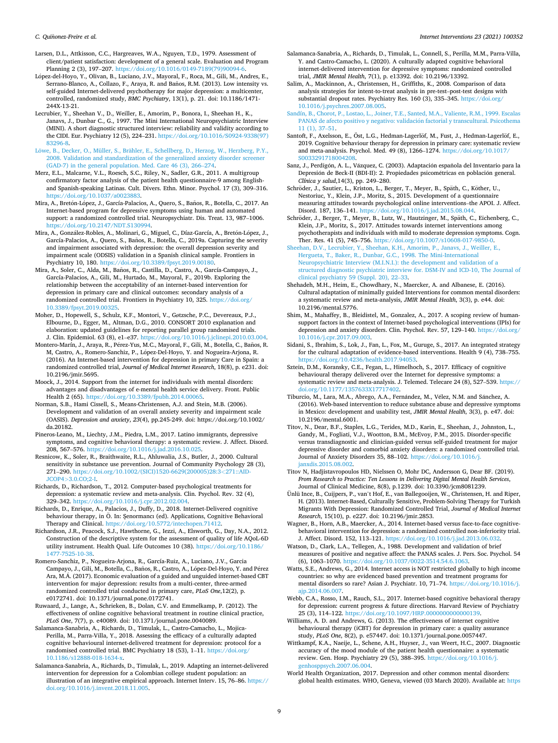- <span id="page-8-0"></span>Larsen, D.L., Attkisson, C.C., Hargreaves, W.A., Nguyen, T.D., 1979. Assessment of client/patient satisfaction: development of a general scale. Evaluation and Program Planning 2 (3), 197–207. [https://doi.org/10.1016/0149-7189\(79\)90094-6](https://doi.org/10.1016/0149-7189(79)90094-6).
- López-del-Hoyo, Y., Olivan, B., Luciano, J.V., Mayoral, F., Roca, M., Gili, M., Andres, E., Serrano-Blanco, A., Collazo, F., Araya, R. and Baños, R.M. (2013). Low intensity vs. self-guided Internet-delivered psychotherapy for major depression: a multicenter, controlled, randomized study, *BMC Psychiatry*, 13(1), p. 21. doi: 10.1186/1471- 244X-13-21.
- Lecrubier, Y., Sheehan V., D., Weiller, E., Amorim, P., Bonora, I., Sheehan H., K., Janavs, J., Dunbar C., G., 1997. The Mini International Neuropsychiatric Interview (MINI). A short diagnostic structured interview: reliability and validity according to the CIDI. Eur. Psychiatry 12 (5), 224–231. [https://doi.org/10.1016/S0924-9338\(97\)](https://doi.org/10.1016/S0924-9338(97)83296-8)
- [83296-8](https://doi.org/10.1016/S0924-9338(97)83296-8).<br>Löwe, B., Decker, O., Müller, S., Brähler, E., Schellberg, D., Herzog, W., Herzberg, P.Y., [2008. Validation and standardization of the generalized anxiety disorder screener](http://refhub.elsevier.com/S2214-7829(20)30118-4/rf0240)  [\(GAD-7\) in the general population. Med. Care 46 \(3\), 266](http://refhub.elsevier.com/S2214-7829(20)30118-4/rf0240)–274.
- Merz, E.L., Malcarne, V.L., Roesch, S.C., Riley, N., Sadler, G.R., 2011. A multigroup confirmatory factor analysis of the patient health questionnaire-9 among Englishand Spanish-speaking Latinas. Cult. Divers. Ethn. Minor. Psychol. 17 (3), 309–316. [https://doi.org/10.1037/a0023883.](https://doi.org/10.1037/a0023883)
- Mira, A., Bretón-López, J., García-Palacios, A., Quero, S., Baños, R., Botella, C., 2017. An Internet-based program for depressive symptoms using human and automated support: a randomized controlled trial. Neuropsychiatr. Dis. Treat. 13, 987–1006. [https://doi.org/10.2147/NDT.S130994.](https://doi.org/10.2147/NDT.S130994)
- Mira, A., González-Robles, A., Molinari, G., Miguel, C., Díaz-García, A., Bretón-López, J., García-Palacios, A., Quero, S., Baños, R., Botella, C., 2019a. Capturing the severity and impairment associated with depression: the overall depression severity and impairment scale (ODSIS) validation in a Spanish clinical sample. Frontiers in Psychiatry 10, 180. <https://doi.org/10.3389/fpsyt.2019.00180>.
- Mira, A., Soler, C., Alda, M., Baños, R., Castilla, D., Castro, A., García-Campayo, J., García-Palacios, A., Gili, M., Hurtado, M., Mayoral, F., 2019b. Exploring the relationship between the acceptability of an internet-based intervention for depression in primary care and clinical outcomes: secondary analysis of a randomized controlled trial. Frontiers in Psychiatry 10, 325. [https://doi.org/](https://doi.org/10.3389/fpsyt.2019.00325) [10.3389/fpsyt.2019.00325.](https://doi.org/10.3389/fpsyt.2019.00325)
- Moher, D., Hopewell, S., Schulz, K.F., Montori, V., Gøtzsche, P.C., Devereaux, P.J., Elbourne, D., Egger, M., Altman, D.G., 2010. CONSORT 2010 explanation and elaboration: updated guidelines for reporting parallel group randomised trials. J. Clin. Epidemiol. 63 (8), e1–e37. <https://doi.org/10.1016/j.jclinepi.2010.03.004>.
- Montero-Marín, J., Araya, R., Pérez-Yus, M.C., Mayoral, F., Gili, M., Botella, C., Baños, R. M, Castro, A., Romero-Sanchiz, P., López-Del-Hoyo, Y. and Nogueira-Arjona, R. (2016). An Internet-based intervention for depression in primary Care in Spain: a randomized controlled trial, *Journal of Medical Internet Research*, 18(8), p. e231. doi: 10.2196/jmir.5695.
- Moock, J., 2014. Support from the internet for individuals with mental disorders: advantages and disadvantages of e-mental health service delivery. Front. Public Health 2 (65). <https://doi.org/10.3389/fpubh.2014.00065>.
- Norman, S.B., Hami Cissell, S., Means-Christensen, A.J. and Stein, M.B. (2006). Development and validation of an overall anxiety severity and impairment scale (OASIS). *Depression and anxiety*, *23*(4), pp.245-249. doi: https://doi.org/10.1002/ da.20182.
- Pineros-Leano, M., Liechty, J.M., Piedra, L.M., 2017. Latino immigrants, depressive symptoms, and cognitive behavioral therapy: a systematic review. J. Affect. Disord. 208, 567–576. [https://doi.org/10.1016/j.jad.2016.10.025.](https://doi.org/10.1016/j.jad.2016.10.025)
- Resnicow, K., Soler, R., Braithwaite, R.L., Ahluwalia, J.S., Butler, J., 2000. Cultural sensitivity in substance use prevention. Journal of Community Psychology 28 (3), 271–290. [https://doi.org/10.1002/\(SICI\)1520-6629\(200005\)28:3](https://doi.org/10.1002/(SICI)1520-6629(200005)28:3<271::AID-JCOP4>3.0.CO;2-I)*<*271::AID-JCOP4*>*[3.0.CO;2-I](https://doi.org/10.1002/(SICI)1520-6629(200005)28:3<271::AID-JCOP4>3.0.CO;2-I).
- Richards, D., Richardson, T., 2012. Computer-based psychological treatments for depression: a systematic review and meta-analysis. Clin. Psychol. Rev. 32 (4), 329–342. <https://doi.org/10.1016/j.cpr.2012.02.004>.
- Richards, D., Enrique, A., Palacios, J., Duffy, D., 2018. Internet-Delivered cognitive behaviour therapy, in Ö. In: Şenormancı (ed). Applications, Cognitive Behavioral Therapy and Clinical. [https://doi.org/10.5772/intechopen.71412.](https://doi.org/10.5772/intechopen.71412)
- Richardson, J.R., Peacock, S.J., Hawthorne, G., Iezzi, A., Elsworth, G., Day, N.A., 2012. Construction of the descriptive system for the assessment of quality of life AQoL-6D utility instrument. Health Qual. Life Outcomes 10 (38). [https://doi.org/10.1186/](https://doi.org/10.1186/1477-7525-10-38) [1477-7525-10-38.](https://doi.org/10.1186/1477-7525-10-38)
- Romero-Sanchiz, P., Nogueira-Arjona, R., García-Ruiz, A., Luciano, J.V., Garcia Campayo, J., Gili, M., Botella, C., Baños, R., Castro, A., López-Del-Hoyo, Y. and Pérez Ara, M.Á. (2017). Economic evaluation of a guided and unguided internet-based CBT intervention for major depression: results from a multi-center, three-armed randomized controlled trial conducted in primary care, *PLoS One*,12(2), p. e0172741. doi: 10.1371/journal.pone.0172741.
- Ruwaard, J., Lange, A., Schrieken, B., Dolan, C.V. and Emmelkamp, P. (2012). The effectiveness of online cognitive behavioral treatment in routine clinical practice, *PLoS One*, 7(7), p. e40089. doi: 10.1371/journal.pone.0040089.
- Salamanca-Sanabria, A., Richards, D., Timulak, L., Castro-Camacho, L., Mojica-Perilla, M., Parra-Villa, Y., 2018. Assessing the efficacy of a culturally adapted cognitive behavioural internet-delivered treatment for depression: protocol for a randomised controlled trial. BMC Psychiatry 18 (53), 1-11. https://doi.org/ [10.1186/s12888-018-1634-x.](https://doi.org/10.1186/s12888-018-1634-x)
- Salamanca-Sanabria, A., Richards, D., Timulak, L., 2019. Adapting an internet-delivered intervention for depression for a Colombian college student population: an illustration of an integrative empirical approach. Internet Interv. 15, 76–86. [https://](https://doi.org/10.1016/j.invent.2018.11.005)  [doi.org/10.1016/j.invent.2018.11.005](https://doi.org/10.1016/j.invent.2018.11.005).
- Salamanca-Sanabria, A., Richards, D., Timulak, L., Connell, S., Perilla, M.M., Parra-Villa, Y. and Castro-Camacho, L. (2020). A culturally adapted cognitive behavioral internet-delivered intervention for depressive symptoms: randomized controlled trial, *JMIR Mental Health*, 7(1), p. e13392. doi: 10.2196/13392.
- Salim, A., Mackinnon, A., Christensen, H., Griffiths, K., 2008. Comparison of data analysis strategies for intent-to-treat analysis in pre-test–post-test designs with substantial dropout rates. Psychiatry Res. 160 (3), 335–345. [https://doi.org/](https://doi.org/10.1016/j.psychres.2007.08.005)  [10.1016/j.psychres.2007.08.005.](https://doi.org/10.1016/j.psychres.2007.08.005)
- [Sandín, B., Chorot, P., Lostao, L., Joiner, T.E., Santed, M.A., Valiente, R.M., 1999. Escalas](http://refhub.elsevier.com/S2214-7829(20)30118-4/rf0315)  PANAS de afecto positivo y negativo: validación factorial y transcultural. Psicothema [11 \(1\), 37](http://refhub.elsevier.com/S2214-7829(20)30118-4/rf0315)–51.
- Santoft, F., Axelsson, E., Öst, L.G., Hedman-Lagerlöf, M., Fust, J., Hedman-Lagerlöf, E., 2019. Cognitive behaviour therapy for depression in primary care: systematic review and meta-analysis. Psychol. Med. 49 (8), 1266–1274. [https://doi.org/10.1017/](https://doi.org/10.1017/S0033291718004208) S003329171800420
- Sanz, J., Perdigón, A. L., Vázquez, C. (2003). Adaptación española del Inventario para la Depresión de Beck-II (BDI-II): 2. Propiedades psicométricas en población general. *Clínica y salud*,14(3), pp. 249–280.
- Schröder, J., Sautier, L., Kriston, L., Berger, T., Meyer, B., Späth, C., Köther, U., Nestoriuc, Y., Klein, J.P., Moritz, S., 2015. Development of a questionnaire measuring attitudes towards psychological online interventions–the APOI. J. Affect. Disord. 187, 136–141.<https://doi.org/10.1016/j.jad.2015.08.044>.
- Schröder, J., Berger, T., Meyer, B., Lutz, W., Hautzinger, M., Späth, C., Eichenberg, C., Klein, J.P., Moritz, S., 2017. Attitudes towards internet interventions among psychotherapists and individuals with mild to moderate depression symptoms. Cogn. Ther. Res. 41 (5), 745–756. [https://doi.org/10.1007/s10608-017-9850-0.](https://doi.org/10.1007/s10608-017-9850-0)
- [Sheehan, D.V., Lecrubier, Y., Sheehan, K.H., Amorim, P., Janavs, J., Weiller, E.,](http://refhub.elsevier.com/S2214-7829(20)30118-4/rf0340) [Hergueta, T., Baker, R., Dunbar, G.C., 1998. The Mini-International](http://refhub.elsevier.com/S2214-7829(20)30118-4/rf0340) [Neuropsychiatric Interview \(M.I.N.I.\): the development and validation of a](http://refhub.elsevier.com/S2214-7829(20)30118-4/rf0340)  [structured diagnostic psychiatric interview for. DSM-IV and ICD-10, The Journal of](http://refhub.elsevier.com/S2214-7829(20)30118-4/rf0340)  [clinical psychiatry 59 \(Suppl. 20\), 22](http://refhub.elsevier.com/S2214-7829(20)30118-4/rf0340)–33.
- Shehadeh, M.H., Heim, E., Chowdhary, N., Maercker, A. and Albanese, E. (2016). Cultural adaptation of minimally guided Interventions for common mental disorders: a systematic review and meta-analysis, *JMIR Mental Health*, 3(3), p. e44. doi: 10.2196/mental.5776.
- Shim, M., Mahaffey, B., Bleidistel, M., Gonzalez, A., 2017. A scoping review of humansupport factors in the context of Internet-based psychological interventions (IPIs) for depression and anxiety disorders. Clin. Psychol. Rev. 57, 129–140. [https://doi.org/](https://doi.org/10.1016/j.cpr.2017.09.003)  [10.1016/j.cpr.2017.09.003](https://doi.org/10.1016/j.cpr.2017.09.003).
- Sidani, S., Ibrahim, S., Lok, J., Fan, L., Fox, M., Guruge, S., 2017. An integrated strategy for the cultural adaptation of evidence-based interventions. Health 9 (4), 738–755. [https://doi.org/10.4236/health.2017.94053.](https://doi.org/10.4236/health.2017.94053)
- Sztein, D.M., Koransky, C.E., Fegan, L., Himelhoch, S., 2017. Efficacy of cognitive behavioural therapy delivered over the Internet for depressive symptoms: a systematic review and meta-analysis. J. Telemed. Telecare 24 (8), 527–539. [https://](https://doi.org/10.1177/1357633X17717402)  [doi.org/10.1177/1357633X17717402](https://doi.org/10.1177/1357633X17717402).
- Tiburcio, M., Lara, M.A., Abrego, A.A., Fernández, M., Vélez, N.M. and Sánchez, A. (2016). Web-based intervention to reduce substance abuse and depressive symptoms in Mexico: development and usability test, *JMIR Mental Health*, 3(3), p. e47. doi: 10.2196/mental.6001.
- Titov, N., Dear, B.F., Staples, L.G., Terides, M.D., Karin, E., Sheehan, J., Johnston, L., Gandy, M., Fogliati, V.J., Wootton, B.M., McEvoy, P.M., 2015. Disorder-specific versus transdiagnostic and clinician-guided versus self-guided treatment for major depressive disorder and comorbid anxiety disorders: a randomized controlled trial. Journal of Anxiety Disorders 35, 88–102. [https://doi.org/10.1016/j.](https://doi.org/10.1016/j.janxdis.2015.08.002) [janxdis.2015.08.002](https://doi.org/10.1016/j.janxdis.2015.08.002).
- Titov N, Hadjistavropoulos HD, Nielssen O, Mohr DC, Andersson G, Dear BF. (2019). *From Research to Practice: Ten Lessons in Delivering Digital Mental Health Services*, Journal of Clinical Medicine, 8(8), p.1239. doi: 10.3390/jcm8081239.
- Ünlü Ince, B., Cuijpers, P., van't Hof, E., van Ballegooijen, W., Christensen, H. and Riper, H. (2013). Internet-Based, Culturally Sensitive, Problem-Solving Therapy for Turkish Migrants With Depression: Randomized Controlled Trial, *Journal of Medical Internet Research*, 15(10), p. e227. doi: 10.2196/jmir.2853.
- Wagner, B., Horn, A.B., Maercker, A., 2014. Internet-based versus face-to-face cognitivebehavioral intervention for depression: a randomized controlled non-inferiority trial. J. Affect. Disord. 152, 113–121. [https://doi.org/10.1016/j.jad.2013.06.032.](https://doi.org/10.1016/j.jad.2013.06.032)
- Watson, D., Clark, L.A., Tellegen, A., 1988. Development and validation of brief measures of positive and negative affect: the PANAS scales. J. Pers. Soc. Psychol. 54 (6), 1063–1070. [https://doi.org/10.1037/0022-3514.54.6.1063.](https://doi.org/10.1037/0022-3514.54.6.1063)
- Watts, S.E., Andrews, G., 2014. Internet access is NOT restricted globally to high income countries: so why are evidenced based prevention and treatment programs for mental disorders so rare? Asian J. Psychiatr. 10, 71–74. [https://doi.org/10.1016/j.](https://doi.org/10.1016/j.ajp.2014.06.007) [ajp.2014.06.007.](https://doi.org/10.1016/j.ajp.2014.06.007)
- Webb, C.A., Rosso, I.M., Rauch, S.L., 2017. Internet-based cognitive behavioral therapy for depression: current progress  $\&$  future directions. Harvard Review of Psychiatry 25 (3), 114–122. <https://doi.org/10.1097/HRP.0000000000000139>.
- Williams, A. D. and Andrews, G. (2013). The effectiveness of internet cognitive behavioural therapy (iCBT) for depression in primary care: a quality assurance study, *PLoS One*, 8(2), p. e57447. doi: 10.1371/journal.pone.0057447.
- Wittkampf, K.A., Naeije, L., Schene, A.H., Huyser, J., van Weert, H.C., 2007. Diagnostic accuracy of the mood module of the patient health questionnaire: a systematic review. Gen. Hosp. Psychiatry 29 (5), 388–395. [https://doi.org/10.1016/j.](https://doi.org/10.1016/j.genhosppsych.2007.06.004) [genhosppsych.2007.06.004.](https://doi.org/10.1016/j.genhosppsych.2007.06.004)

World Health Organization, 2017. Depression and other common mental disorders: global health estimates. WHO, Geneva, viewed (03 March 2020). Available at: [https](https://www.who.int/mental_health/management/depression/prevalence_global_health_estimates/en/)